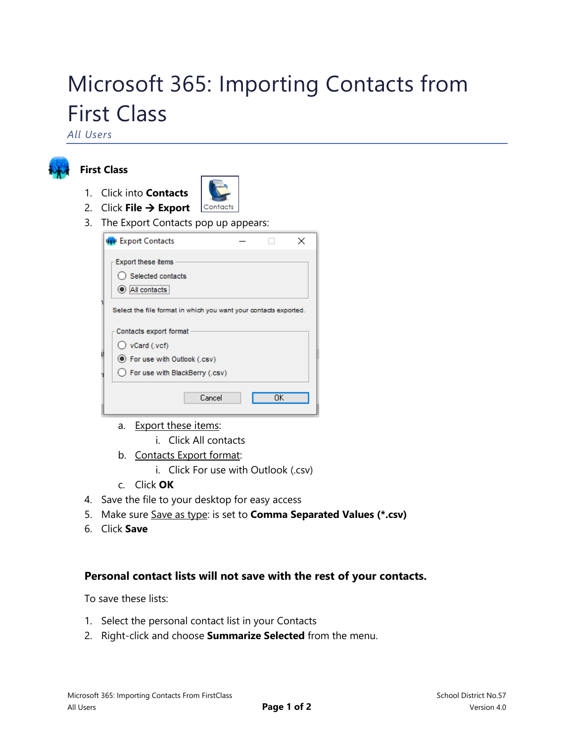# Microsoft 365: Importing Contacts from First Class

*All Users*



## **First Class**

1. Click into **Contacts**

Contacts

- 2. Click **File**  $\rightarrow$  **Export**
- 3. The Export Contacts pop up appears:

| <b>PR</b> Export Contacts                                        |  |  |  |  |
|------------------------------------------------------------------|--|--|--|--|
| <b>Export these items</b><br>Selected contacts<br>All contacts   |  |  |  |  |
| Select the file format in which you want your contacts exported. |  |  |  |  |
| Contacts export format                                           |  |  |  |  |
| $\bigcirc$ vCard (.vcf)                                          |  |  |  |  |
| ● For use with Outlook (.csv)                                    |  |  |  |  |
| ◯ For use with BlackBerry (.csv)                                 |  |  |  |  |
| Cancel<br>OΚ                                                     |  |  |  |  |

- a. Export these items:
	- i. Click All contacts
- b. Contacts Export format:
	- i. Click For use with Outlook (.csv)
- c. Click **OK**
- 4. Save the file to your desktop for easy access
- 5. Make sure Save as type: is set to **Comma Separated Values (\*.csv)**
- 6. Click **Save**

## **Personal contact lists will not save with the rest of your contacts.**

To save these lists:

- 1. Select the personal contact list in your Contacts
- 2. Right-click and choose **Summarize Selected** from the menu.